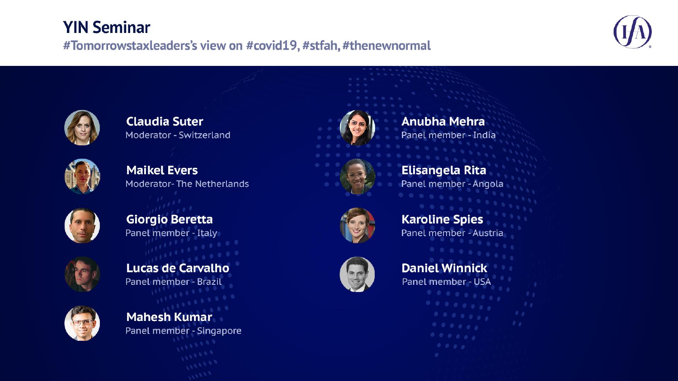#### **YIN Seminar**

#Tomorrowstaxleaders's view on #covid19, #stfah, #thenewnormal





**Claudia Suter** Moderator - Switzerland



**Maikel Evers Moderator-The Netherlands** 



**Giorgio Beretta** Panel member - Italy



**Lucas de Carvalho** Panel member - Brazil



**Mahesh Kumar** Panel member - Singapore



**Anubha Mehra** Panel member - India



**Elisangela Rita** Panel member - Angola



**Karoline Spies** Panel member - Austria



**Daniel Winnick** Panel member - USA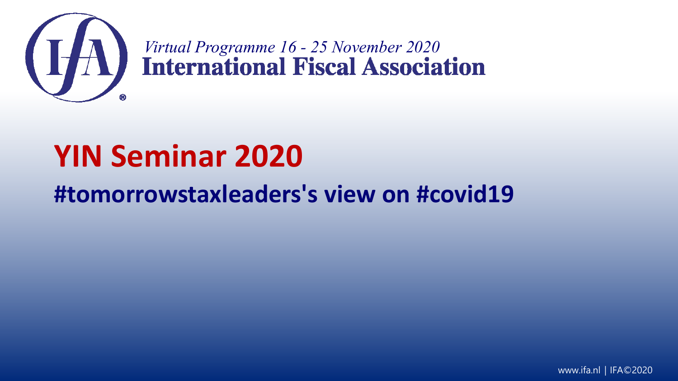

*Virtual Programme 16 - 25 November 2020*<br> **Virtual Programme 16 - 25 November 2020** 

## **YIN Seminar 2020**

### **#tomorrowstaxleaders's view on #covid19**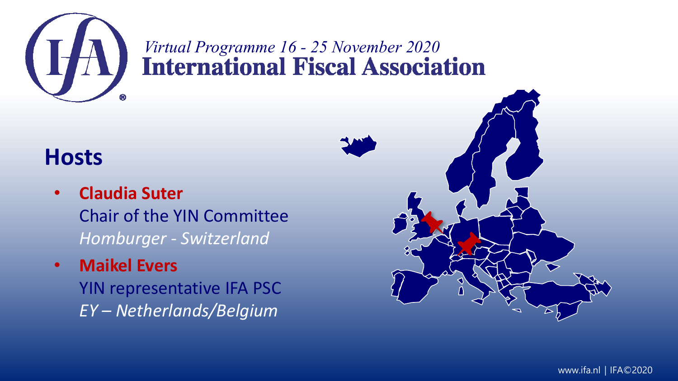

# *Virtual Programme 16 - 25 November 2020*

#### **Hosts**

- **Claudia Suter** Chair of the YIN Committee *Homburger - Switzerland*
- **Maikel Evers**

YIN representative IFA PSC *EY – Netherlands/Belgium*

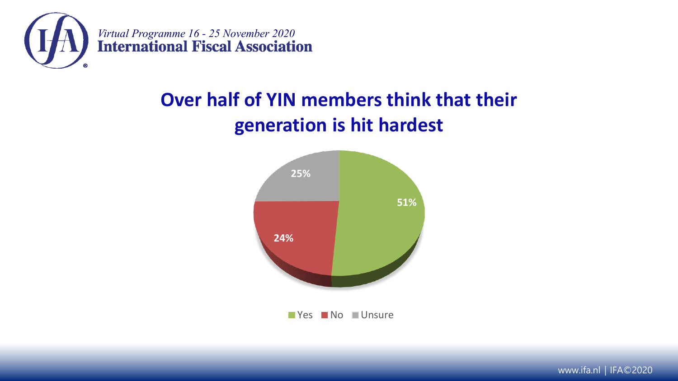

#### **Over half of YIN members think that their generation is hit hardest**



www.ifa.nl | IFA©2020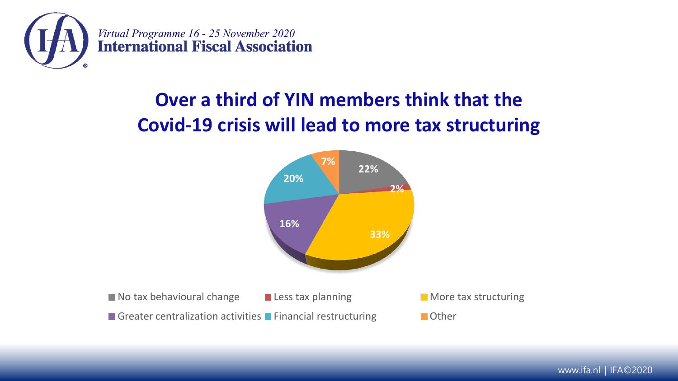

#### **Over a third of YIN members think that the Covid-19 crisis will lead to more tax structuring**



www.ifa.nl | IFA©2020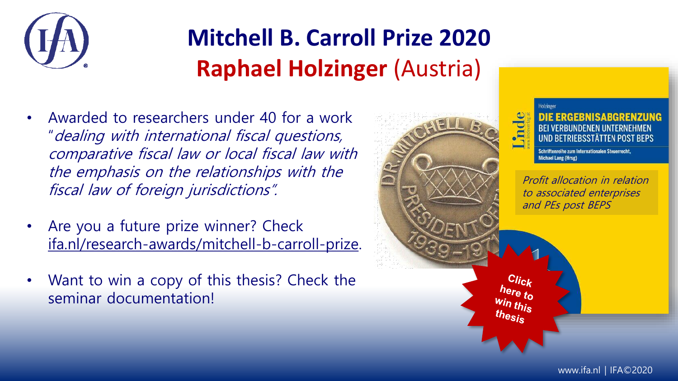

## **Mitchell B. Carroll Prize 2020 Raphael Holzinger** (Austria)

- Awarded to researchers under 40 for a work "dealing with international fiscal questions, comparative fiscal law or local fiscal law with the emphasis on the relationships with the fiscal law of foreign jurisdictions".
- Are you a future prize winner? Check [ifa.nl/research-awards/mitchell-b-carroll-prize.](https://www.ifa.nl/research-awards/mitchell-b-carroll-prize)
- Want to win a copy of this thesis? Check the seminar documentation!



**BEI VERBUNDENEN UNTERNEHMEN UND BETRIEBSSTÄTTEN POST BEPS** 

Schriftenreihe zum Internationalen Steuerrecht Michael Lang (Hrsg)

Profit allocation in relation to associated enterprises and PEs post BEPS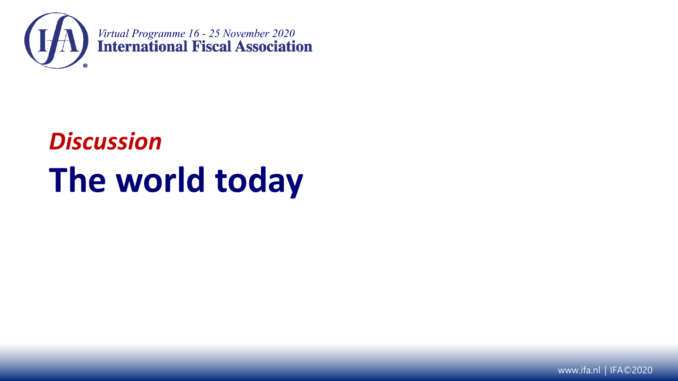

# *Discussion* **The world today**

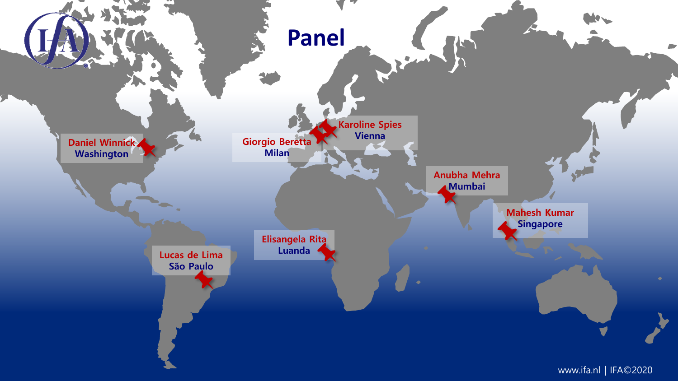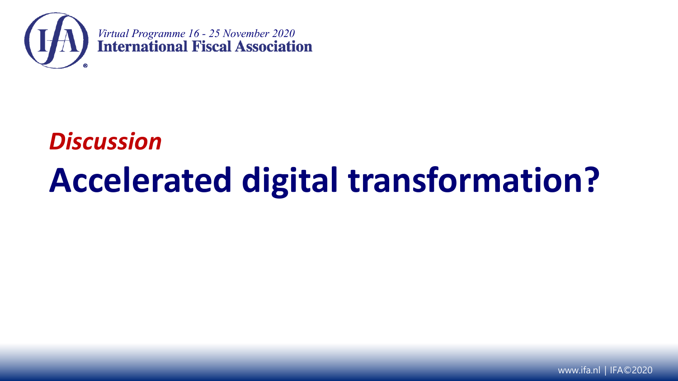

# *Discussion* **Accelerated digital transformation?**

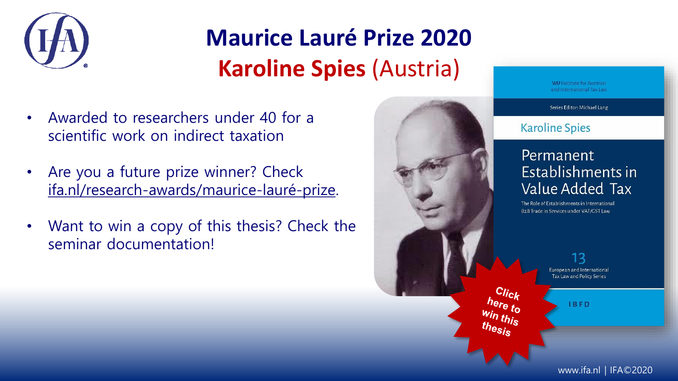

### **Maurice Lauré Prize 2020 Karoline Spies** (Austria)

- Awarded to researchers under 40 for a scientific work on indirect taxation
- Are you a future prize winner? Check [ifa.nl/research-awards/maurice-lauré-prize](https://www.ifa.nl/research-awards/maurice-laur%C3%A9-prize).
- Want to win a copy of this thesis? Check the seminar documentation!



**WILlnstitute for Austrian** and International Tax Law

Series Editor: Michael Lang

#### **Karoline Spies**

#### Permanent Establishments in Value Added Tax

The Role of Establishments in International B2B Trade in Services under VAT/GST Law

> 13 European and International Tax Law and Policy Series

> > **IBFD**

[w](https://docs.google.com/forms/d/e/1FAIpQLSdCiOiPbzMuRehv3m4qrRq64ob0s_Jd7Lnuw5LxTOnM20DEbA/viewform)ww.ifa.nl | IFA©2020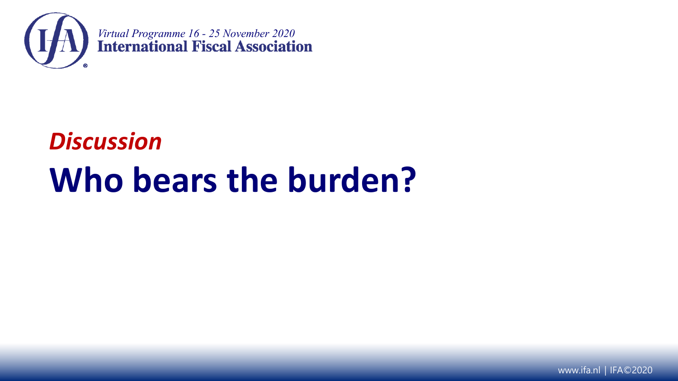

# *Discussion* **Who bears the burden?**

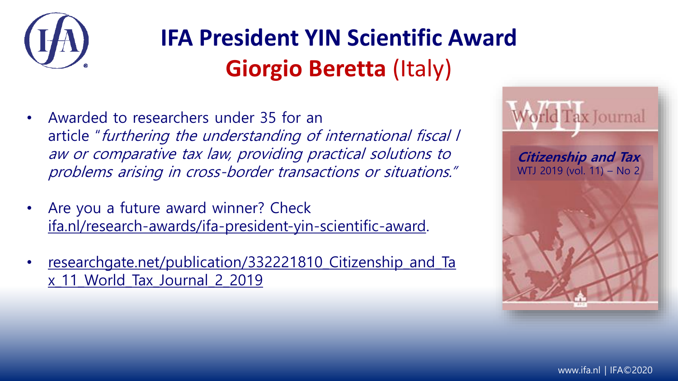

### **IFA President YIN Scientific Award Giorgio Beretta** (Italy)

- Awarded to researchers under 35 for an article "furthering the understanding of international fiscal l aw or comparative tax law, providing practical solutions to problems arising in cross-border transactions or situations."
- Are you a future award winner? Check [ifa.nl/research-awards/ifa-president-yin-scientific-award.](https://www.ifa.nl/research-awards/ifa-president-yin-scientific-award)
- researchgate.net/publication/332221810 Citizenship and Ta x\_11\_World\_Tax\_Journal\_2\_2019

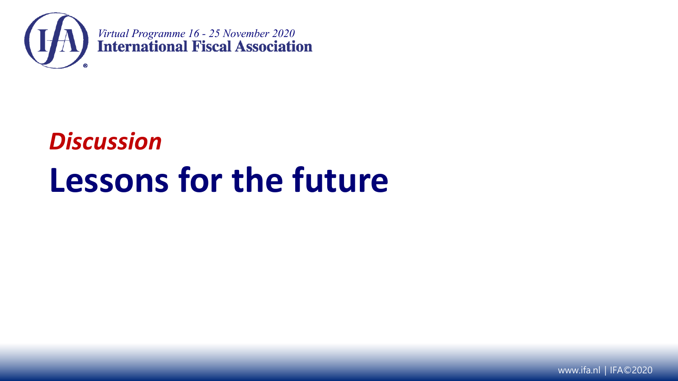

# *Discussion* **Lessons for the future**